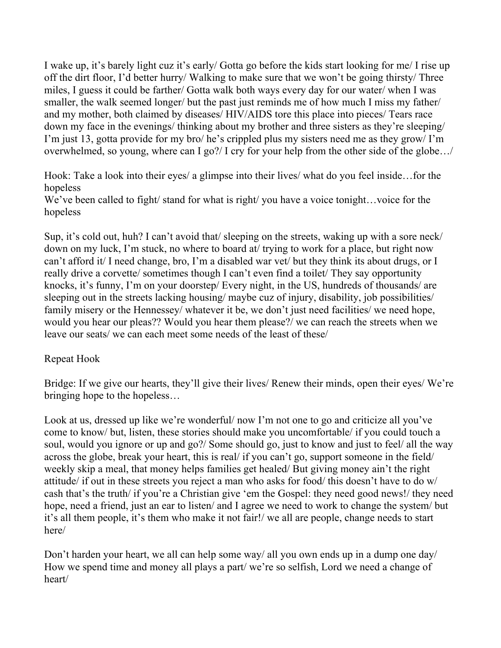I wake up, it's barely light cuz it's early/ Gotta go before the kids start looking for me/ I rise up off the dirt floor, I'd better hurry/ Walking to make sure that we won't be going thirsty/ Three miles, I guess it could be farther/ Gotta walk both ways every day for our water/ when I was smaller, the walk seemed longer/ but the past just reminds me of how much I miss my father/ and my mother, both claimed by diseases/ HIV/AIDS tore this place into pieces/ Tears race down my face in the evenings/ thinking about my brother and three sisters as they're sleeping/ I'm just 13, gotta provide for my bro/ he's crippled plus my sisters need me as they grow/ I'm overwhelmed, so young, where can I go?/ I cry for your help from the other side of the globe…/

Hook: Take a look into their eyes/ a glimpse into their lives/ what do you feel inside…for the hopeless

We've been called to fight/ stand for what is right/ you have a voice tonight...voice for the hopeless

Sup, it's cold out, huh? I can't avoid that/ sleeping on the streets, waking up with a sore neck/ down on my luck, I'm stuck, no where to board at/ trying to work for a place, but right now can't afford it/ I need change, bro, I'm a disabled war vet/ but they think its about drugs, or I really drive a corvette/ sometimes though I can't even find a toilet/ They say opportunity knocks, it's funny, I'm on your doorstep/ Every night, in the US, hundreds of thousands/ are sleeping out in the streets lacking housing/ maybe cuz of injury, disability, job possibilities/ family misery or the Hennessey/ whatever it be, we don't just need facilities/ we need hope, would you hear our pleas?? Would you hear them please?/ we can reach the streets when we leave our seats/ we can each meet some needs of the least of these/

## Repeat Hook

Bridge: If we give our hearts, they'll give their lives/ Renew their minds, open their eyes/ We're bringing hope to the hopeless…

Look at us, dressed up like we're wonderful/ now I'm not one to go and criticize all you've come to know/ but, listen, these stories should make you uncomfortable/ if you could touch a soul, would you ignore or up and go?/ Some should go, just to know and just to feel/ all the way across the globe, break your heart, this is real/ if you can't go, support someone in the field/ weekly skip a meal, that money helps families get healed/ But giving money ain't the right attitude/ if out in these streets you reject a man who asks for food/ this doesn't have to do w/ cash that's the truth/ if you're a Christian give 'em the Gospel: they need good news!/ they need hope, need a friend, just an ear to listen/ and I agree we need to work to change the system/ but it's all them people, it's them who make it not fair!/ we all are people, change needs to start here/

Don't harden your heart, we all can help some way/ all you own ends up in a dump one day/ How we spend time and money all plays a part/ we're so selfish, Lord we need a change of heart/